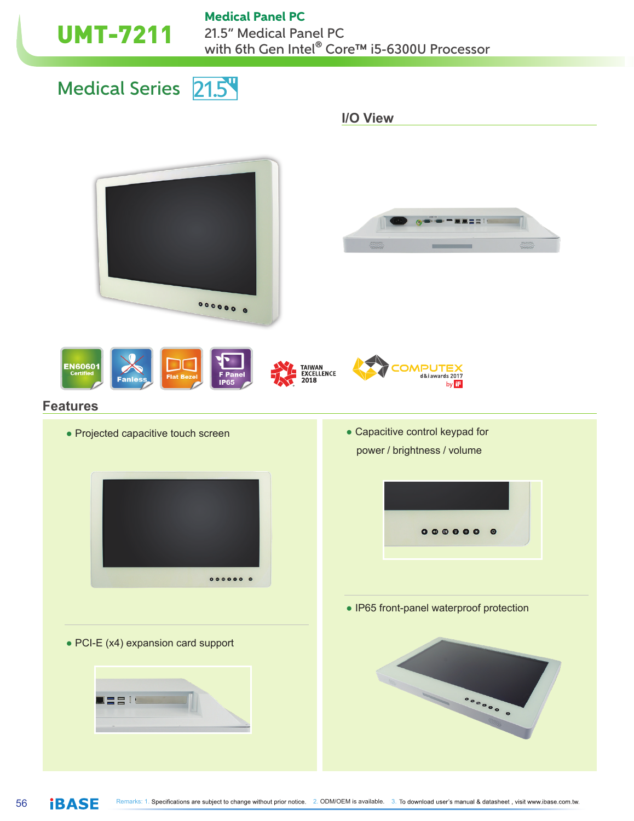#### Medical Panel PC

UMT-7211 21.5" Medical Panel PC with 6th Gen Intel® Core™ i5-6300U Processor

Medical Series 21.5

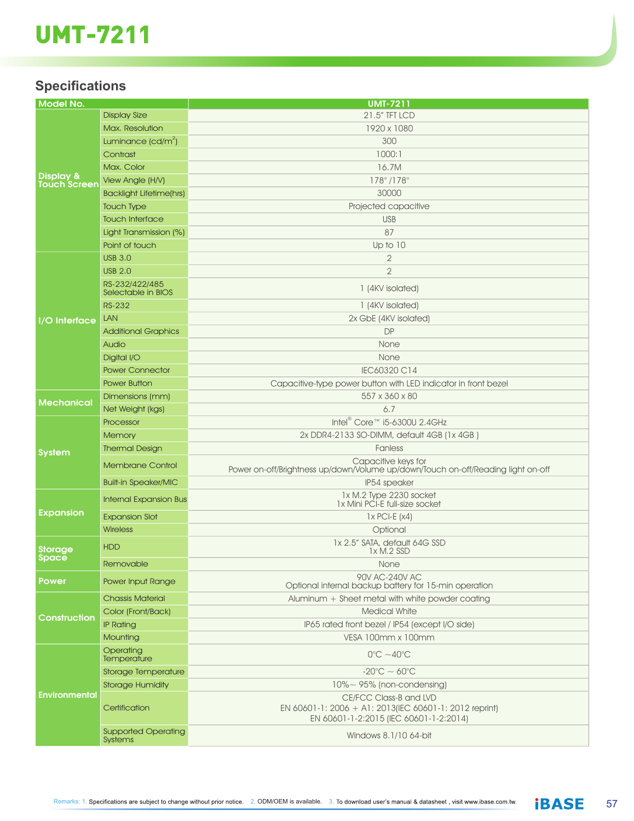# UMT-7211

## **Specifications**

| <b>Model No.</b>                 |                                              | <b>UMT-7211</b>                                                                                  |
|----------------------------------|----------------------------------------------|--------------------------------------------------------------------------------------------------|
| Display &<br><b>Touch Screer</b> | <b>Display Size</b>                          | 21.5" TFT LCD                                                                                    |
|                                  | Max, Resolution                              | 1920 x 1080                                                                                      |
|                                  | Luminance $(cd/m^2)$                         | 300                                                                                              |
|                                  | Contrast                                     | 1000:1                                                                                           |
|                                  | Max. Color                                   | 16.7M                                                                                            |
|                                  | View Angle (H/V)                             | $178^{\circ}/178^{\circ}$                                                                        |
|                                  | <b>Backlight Lifetime(hrs)</b>               | 30000                                                                                            |
|                                  | <b>Touch Type</b>                            | Projected capacitive                                                                             |
|                                  |                                              |                                                                                                  |
|                                  | <b>Touch Interface</b>                       | <b>USB</b>                                                                                       |
|                                  | Light Transmission (%)                       | 87                                                                                               |
|                                  | Point of touch                               | Up to 10                                                                                         |
|                                  | <b>USB 3.0</b>                               | $\overline{2}$                                                                                   |
|                                  | <b>USB 2.0</b>                               | $\overline{2}$                                                                                   |
|                                  | RS-232/422/485<br>Selectable in BIOS         | 1 (4KV isolated)                                                                                 |
|                                  | <b>RS-232</b>                                | 1 (4KV isolated)                                                                                 |
| I/O Interface                    | <b>LAN</b>                                   | 2x GbE (4KV isolated)                                                                            |
|                                  | <b>Additional Graphics</b>                   | <b>DP</b>                                                                                        |
|                                  | Audio                                        | None                                                                                             |
|                                  | Digital I/O                                  | None                                                                                             |
|                                  | <b>Power Connector</b>                       | IEC60320 C14                                                                                     |
|                                  | <b>Power Button</b>                          | Capacitive-type power button with LED indicator in front bezel                                   |
|                                  | Dimensions (mm)                              | 557 x 360 x 80                                                                                   |
| <b>Mechanical</b>                | Net Weight (kgs)                             | 6.7                                                                                              |
| <b>System</b>                    | Processor                                    | Intel <sup>®</sup> Core <sup>™</sup> i5-6300U 2.4GHz                                             |
|                                  | Memory                                       | 2x DDR4-2133 SO-DIMM, default 4GB (1x 4GB)                                                       |
|                                  | <b>Thermal Design</b>                        | Fanless                                                                                          |
|                                  |                                              | Capacitive keys for                                                                              |
|                                  | <b>Membrane Control</b>                      | Power on-off/Brightness up/down/Volume up/down/Touch on-off/Reading light on-off                 |
|                                  | <b>Built-in Speaker/MIC</b>                  | IP54 speaker                                                                                     |
| Expansion                        | <b>Internal Expansion Bus</b>                | 1x M.2 Type 2230 socket<br>1x Mini PCI-E full-size socket                                        |
|                                  | <b>Expansion Slot</b>                        | $1x$ PCI-E $(x4)$                                                                                |
|                                  | <b>Wireless</b>                              | Optional                                                                                         |
| Storage<br>Space                 | <b>HDD</b>                                   | 1x 2.5" SATA, default 64G SSD<br>1x M.2 SSD                                                      |
|                                  | Removable                                    | None                                                                                             |
| <b>Power</b>                     | Power Input Range                            | 90V AC-240V AC<br>Optional internal backup battery for 15-min operation                          |
| Construction                     | <b>Chassis Material</b>                      | Aluminum + Sheet metal with white powder coating                                                 |
|                                  | Color (Front/Back)                           | <b>Medical White</b>                                                                             |
|                                  | <b>IP Rating</b>                             | IP65 rated front bezel / IP54 (except I/O side)                                                  |
|                                  | Mounting                                     | VESA 100mm x 100mm                                                                               |
| Environmental                    | Operating<br>Temperature                     | $0^{\circ}$ C ~40 $^{\circ}$ C                                                                   |
|                                  | Storage Temperature                          | $-20^{\circ}$ C ~ 60 $^{\circ}$ C                                                                |
|                                  | <b>Storage Humidity</b>                      | $10\% \sim 95\%$ (non-condensing)                                                                |
|                                  |                                              | CE/FCC Class-B and LVD                                                                           |
|                                  | Certification                                | EN 60601-1: 2006 + A1: 2013(IEC 60601-1: 2012 reprint)<br>EN 60601-1-2:2015 (IEC 60601-1-2:2014) |
|                                  | <b>Supported Operating</b><br><b>Systems</b> | Windows 8.1/10 64-bit                                                                            |